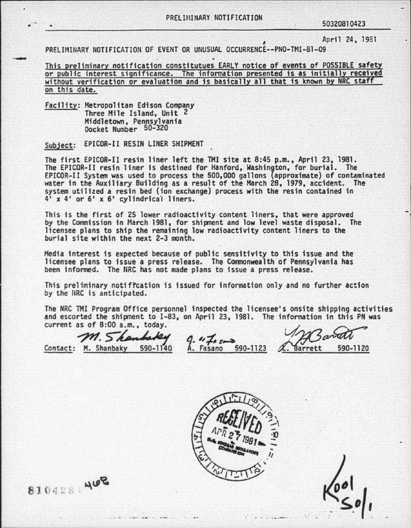## PRELIHINARY NOTIFICATION 50320810423

, April 24. 1921

PRELIMINARY NOTIFICATION OF EVENT OR UNUSUAL OCCURRENCE--PNO-TMI-81-09

This preliminary notification constitutues EARLY notice of events of POSSIBLE safety or public interest significance. The information presented is as initially received without verification or evaluation and is basically all that is known by NRC staff on this date.

Facility: Metropolitan Edison Company Three Mile Island, Unit 2 Docket Number 50-320

Subject: EPICOR-II RESIN LINER SHIPMENT

The first EPICOR-II resin liner left the TMI site at 8:45 p.m., April 23, 1981. The EPICOR-II resin liner is destined for Hanford, Washington, for burial. The f.PICOR-II System was used to process the 500,000 gallons (approximate) of contaminated water in the Auxiliary Building as a result of the March 28, 1979, accident. The system utilized a resin bed (ion exchange) process with the resin contained in  $4'$  x  $4'$  or  $6'$  x  $6'$  cylindrical liners.

This is the first of 25 lower radioactivity content liners, that were approved by the Commission in March 1981, for shipment and low level waste disposal. The licensee plans to ship the remaining low radioactivity content liners to the burial site within the next 2-3 month.

Media interest is expected because of public sensitivity to this issue and the licensee plans to issue a press release. The Commonwealth of Pennsylvania has been informed. The NRC has not made plans to issue a press release.

This preliminary notiftcation is issued for information only and no further action by the URC is anticipated.

The NRC TMI Program Office personnel inspected the licensee's onsite shipping activities<br>and escorted the shipment to I-83, on April 23, 1981. The information in this PN was<br>current as of 8:00 a.m., today. and escorted the shipment to I-83, on April 23, 1981. The information in this PN was current as of 8:00 a.m., today.

 $\mathcal{M}.$  Shanbaky 9. "To see S90-1123 L. Barrett 590-1120

·.'



8104280408